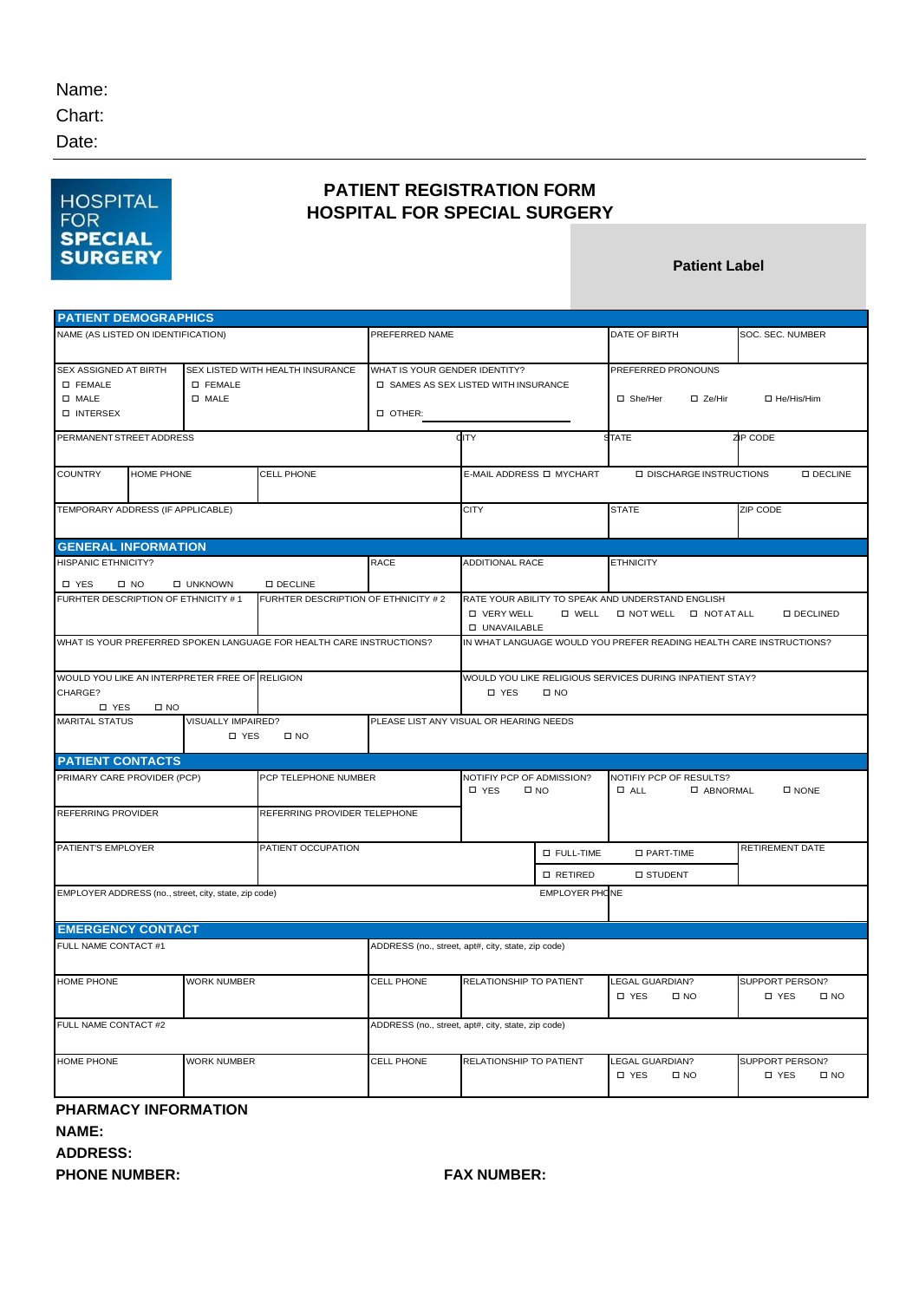Chart:

Date:

## **HOSPITAL FOR SPECIAL SURGERY**

## **PATIENT REGISTRATION FORM HOSPITAL FOR SPECIAL SURGERY**

**Patient Label**

| <b>PATIENT DEMOGRAPHICS</b>                                                                                        |                                    |                                                                                      |                                                    |                                                                                   |               |                                                                              |                                                 |  |
|--------------------------------------------------------------------------------------------------------------------|------------------------------------|--------------------------------------------------------------------------------------|----------------------------------------------------|-----------------------------------------------------------------------------------|---------------|------------------------------------------------------------------------------|-------------------------------------------------|--|
| NAME (AS LISTED ON IDENTIFICATION)                                                                                 |                                    |                                                                                      | PREFERRED NAME                                     |                                                                                   |               | DATE OF BIRTH                                                                | SOC. SEC. NUMBER                                |  |
| SEX ASSIGNED AT BIRTH<br><b>D FEMALE</b><br><b>D FEMALE</b><br><b>D</b> MALE<br><b>D</b> MALE<br><b>D INTERSEX</b> |                                    | SEX LISTED WITH HEALTH INSURANCE<br>WHAT IS YOUR GENDER IDENTITY?<br><b>D</b> OTHER: |                                                    | □ SAMES AS SEX LISTED WITH INSURANCE                                              |               | PREFERRED PRONOUNS<br>□ She/Her<br>$\square$ Ze/Hir                          | □ He/His/Him                                    |  |
| PERMANENT STREET ADDRESS                                                                                           |                                    | CITY                                                                                 |                                                    | <b>STATE</b>                                                                      | ZIP CODE      |                                                                              |                                                 |  |
| <b>COUNTRY</b><br>HOME PHONE                                                                                       |                                    | <b>CELL PHONE</b>                                                                    |                                                    | E-MAIL ADDRESS O MYCHART                                                          |               | <b>DISCHARGE INSTRUCTIONS</b><br><b>O DECLINE</b>                            |                                                 |  |
| TEMPORARY ADDRESS (IF APPLICABLE)                                                                                  |                                    |                                                                                      |                                                    |                                                                                   |               | <b>STATE</b>                                                                 | ZIP CODE                                        |  |
| <b>GENERAL INFORMATION</b>                                                                                         |                                    |                                                                                      |                                                    |                                                                                   |               |                                                                              |                                                 |  |
| <b>HISPANIC ETHNICITY?</b><br><b>D</b> YES<br>$\square$ NO                                                         | <b>II UNKNOWN</b>                  |                                                                                      | <b>RACE</b>                                        | ADDITIONAL RACE                                                                   |               | <b>ETHNICITY</b>                                                             |                                                 |  |
| <b>DECLINE</b><br>FURHTER DESCRIPTION OF ETHNICITY #1<br>FURHTER DESCRIPTION OF ETHNICITY #2                       |                                    |                                                                                      |                                                    | <b>D VERY WELL</b><br><b>D UNAVAILABLE</b>                                        | <b>D</b> WELL | RATE YOUR ABILITY TO SPEAK AND UNDERSTAND ENGLISH<br>O NOT WELL O NOT AT ALL | <b>O DECLINED</b>                               |  |
| WHAT IS YOUR PREFERRED SPOKEN LANGUAGE FOR HEALTH CARE INSTRUCTIONS?                                               |                                    | IN WHAT LANGUAGE WOULD YOU PREFER READING HEALTH CARE INSTRUCTIONS?                  |                                                    |                                                                                   |               |                                                                              |                                                 |  |
| WOULD YOU LIKE AN INTERPRETER FREE OF RELIGION<br>CHARGE?<br><b>D</b> YES<br>$\square$ NO                          |                                    |                                                                                      |                                                    | WOULD YOU LIKE RELIGIOUS SERVICES DURING INPATIENT STAY?<br>□ YES<br>$\square$ NO |               |                                                                              |                                                 |  |
| <b>MARITAL STATUS</b>                                                                                              | VISUALLY IMPAIRED?<br><b>D</b> YES | $\square$ NO                                                                         |                                                    | PLEASE LIST ANY VISUAL OR HEARING NEEDS                                           |               |                                                                              |                                                 |  |
| <b>PATIENT CONTACTS</b>                                                                                            |                                    |                                                                                      |                                                    |                                                                                   |               |                                                                              |                                                 |  |
| PRIMARY CARE PROVIDER (PCP)                                                                                        |                                    | PCP TELEPHONE NUMBER                                                                 |                                                    | NOTIFIY PCP OF ADMISSION?<br>□ YES<br>$\square$ NO                                |               | NOTIFIY PCP OF RESULTS?<br>$\Box$ ALL<br>□ ABNORMAL<br>$\square$ NONE        |                                                 |  |
| REFERRING PROVIDER                                                                                                 |                                    | REFERRING PROVIDER TELEPHONE                                                         |                                                    |                                                                                   |               |                                                                              |                                                 |  |
| PATIENT'S EMPLOYER                                                                                                 |                                    | PATIENT OCCUPATION                                                                   |                                                    | <b>D</b> FULL-TIME                                                                |               | □ PART-TIME                                                                  | RETIREMENT DATE                                 |  |
|                                                                                                                    |                                    |                                                                                      |                                                    | <b>O RETIRED</b>                                                                  |               | <b>D STUDENT</b>                                                             |                                                 |  |
| EMPLOYER ADDRESS (no., street, city, state, zip code)                                                              |                                    |                                                                                      | <b>EMPLOYER PHONE</b>                              |                                                                                   |               |                                                                              |                                                 |  |
| <b>EMERGENCY CONTACT</b>                                                                                           |                                    |                                                                                      |                                                    |                                                                                   |               |                                                                              |                                                 |  |
| FULL NAME CONTACT #1                                                                                               |                                    |                                                                                      | ADDRESS (no., street, apt#, city, state, zip code) |                                                                                   |               |                                                                              |                                                 |  |
| <b>HOME PHONE</b>                                                                                                  |                                    | <b>WORK NUMBER</b>                                                                   |                                                    | RELATIONSHIP TO PATIENT                                                           |               | LEGAL GUARDIAN?<br><b>D</b> YES<br>$\square$ NO                              | SUPPORT PERSON?<br><b>D</b> YES<br>$\square$ NO |  |
| FULL NAME CONTACT #2                                                                                               |                                    |                                                                                      | ADDRESS (no., street, apt#, city, state, zip code) |                                                                                   |               |                                                                              |                                                 |  |
| <b>HOME PHONE</b>                                                                                                  |                                    | <b>WORK NUMBER</b>                                                                   |                                                    | RELATIONSHIP TO PATIENT                                                           |               | LEGAL GUARDIAN?<br><b>D</b> YES<br>$\square$ NO                              | SUPPORT PERSON?<br><b>D</b> YES<br>$\square$ NO |  |
| PHARMACY INFORMATION                                                                                               |                                    |                                                                                      |                                                    |                                                                                   |               |                                                                              |                                                 |  |

**NAME: ADDRESS:**

## **PHONE NUMBER: FAX NUMBER:**